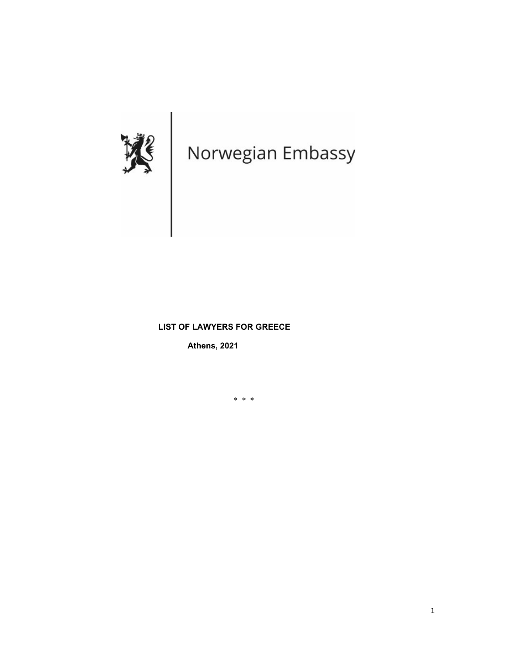

### **LIST OF LAWYERS FOR GREECE**

**Athens, 2021**

\* \* \*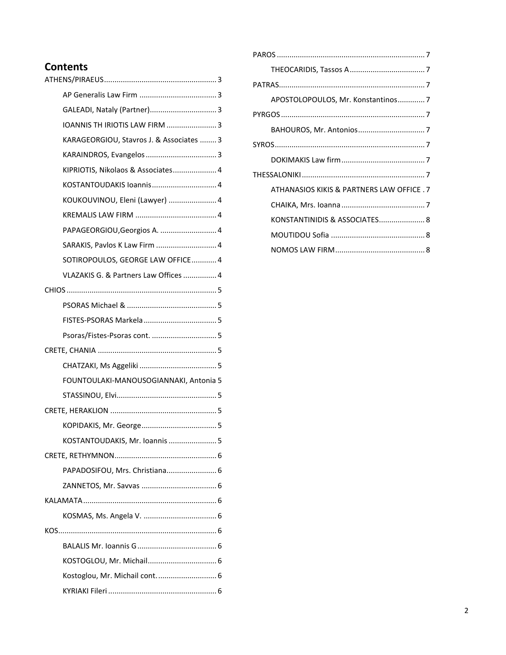# **Contents**

|  | GALEADI, Nataly (Partner) 3              |
|--|------------------------------------------|
|  | IOANNIS TH IRIOTIS LAW FIRM  3           |
|  | KARAGEORGIOU, Stavros J. & Associates  3 |
|  |                                          |
|  | KIPRIOTIS, Nikolaos & Associates 4       |
|  | KOSTANTOUDAKIS Ioannis 4                 |
|  | KOUKOUVINOU, Eleni (Lawyer)  4           |
|  |                                          |
|  | PAPAGEORGIOU, Georgios A.  4             |
|  | SARAKIS, Pavlos K Law Firm  4            |
|  | SOTIROPOULOS, GEORGE LAW OFFICE 4        |
|  | VLAZAKIS G. & Partners Law Offices  4    |
|  |                                          |
|  |                                          |
|  |                                          |
|  |                                          |
|  |                                          |
|  |                                          |
|  | FOUNTOULAKI-MANOUSOGIANNAKI, Antonia 5   |
|  |                                          |
|  |                                          |
|  |                                          |
|  | KOSTANTOUDAKIS, Mr. Ioannis  5           |
|  |                                          |
|  | PAPADOSIFOU, Mrs. Christiana 6           |
|  |                                          |
|  |                                          |
|  |                                          |
|  |                                          |
|  |                                          |
|  | KOSTOGLOU, Mr. Michail 6                 |
|  | Kostoglou, Mr. Michail cont 6            |
|  |                                          |

| APOSTOLOPOULOS, Mr. Konstantinos7         |  |  |
|-------------------------------------------|--|--|
|                                           |  |  |
|                                           |  |  |
|                                           |  |  |
|                                           |  |  |
|                                           |  |  |
| ATHANASIOS KIKIS & PARTNERS LAW OFFICE. 7 |  |  |
|                                           |  |  |
| KONSTANTINIDIS & ASSOCIATES 8             |  |  |
|                                           |  |  |
|                                           |  |  |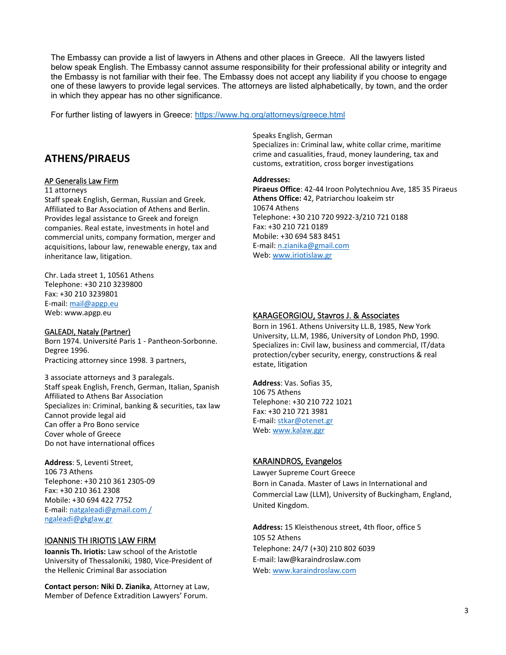The Embassy can provide a list of lawyers in Athens and other places in Greece. All the lawyers listed below speak English. The Embassy cannot assume responsibility for their professional ability or integrity and the Embassy is not familiar with their fee. The Embassy does not accept any liability if you choose to engage one of these lawyers to provide legal services. The attorneys are listed alphabetically, by town, and the order in which they appear has no other significance.

For further listing of lawyers in Greece:<https://www.hg.org/attorneys/greece.html>

# <span id="page-2-0"></span>**ATHENS/PIRAEUS**

### <span id="page-2-1"></span>AP Generalis Law Firm

#### 11 attorneys

Staff speak English, German, Russian and Greek. Affiliated to Bar Association of Athens and Berlin. Provides legal assistance to Greek and foreign companies. Real estate, investments in hotel and commercial units, company formation, merger and acquisitions, labour law, renewable energy, tax and inheritance law, litigation.

Chr. Lada street 1, 10561 Athens Telephone: +30 210 3239800 Fax: +30 210 3239801 E-mail: [mail@apgp.eu](mailto:mail@apgp.eu) Web: www.apgp.eu

### <span id="page-2-2"></span>GALEADI, Nataly (Partner)

Born 1974. Université Paris 1 - Pantheon-Sorbonne. Degree 1996. Practicing attorney since 1998. 3 partners,

3 associate attorneys and 3 paralegals. Staff speak English, French, German, Italian, Spanish Affiliated to Athens Bar Association Specializes in: Criminal, banking & securities, tax law Cannot provide legal aid Can offer a Pro Bono service Cover whole of Greece Do not have international offices

**Address**: 5, Leventi Street, 106 73 Athens Telephone: +30 210 361 2305-09 Fax: +30 210 361 2308 Mobile: +30 694 422 7752 E-mail: [natgaleadi@gmail.com /](mailto:natgaleadi@gmail.com%20/)  [ngaleadi@gkglaw.gr](mailto:ngaleadi@gkglaw.gr)

### <span id="page-2-3"></span>IOANNIS TH IRIOTIS LAW FIRM

**Ioannis Th. Iriotis:** Law school of the Aristotle University of Thessaloniki, 1980, Vice-President of the Hellenic Criminal Bar association

**Contact person: Niki D. Zianika**, Attorney at Law, Member of Defence Extradition Lawyers' Forum.

Speaks English, German

Specializes in: Criminal law, white collar crime, maritime crime and casualities, fraud, money laundering, tax and customs, extratition, cross borger investigations

#### **Addresses:**

**Piraeus Office**: 42-44 Iroon Polytechniou Ave, 185 35 Piraeus **Athens Office:** 42, Patriarchou Ioakeim str 10674 Athens Telephone: +30 210 720 9922-3/210 721 0188 Fax: +30 210 721 0189 Mobile: +30 694 583 8451 E-mail: [n.zianika@gmail.com](mailto:n.zianika@gmail.com) Web: [www.iriotislaw.gr](http://www.iriotislaw.gr/)

### <span id="page-2-4"></span>KARAGEORGIOU, Stavros J. & Associates

Born in 1961. Athens University LL.B, 1985, New York University, LL.M, 1986, University of London PhD, 1990. Specializes in: Civil law, business and commercial, IT/data protection/cyber security, energy, constructions & real estate, litigation

**Address**: Vas. Sofias 35, 106 75 Athens Telephone: +30 210 722 1021 Fax: +30 210 721 3981 E-mail: [stkar@otenet.gr](mailto:stkar@otenet.gr) Web: [www.kalaw.ggr](http://www.kalaw.ggr/)

### <span id="page-2-5"></span>KARAINDROS, Evangelos

Lawyer Supreme Court Greece Born in Canada. Master of Laws in International and Commercial Law (LLM), University of Buckingham, England, United Kingdom.

**Address:** 15 Kleisthenous street, 4th floor, office 5 105 52 Athens Telephone: 24/7 (+30) 210 802 6039 E-mail: law@karaindroslaw.com Web: [www.karaindroslaw.com](http://www.karaindroslaw.com/)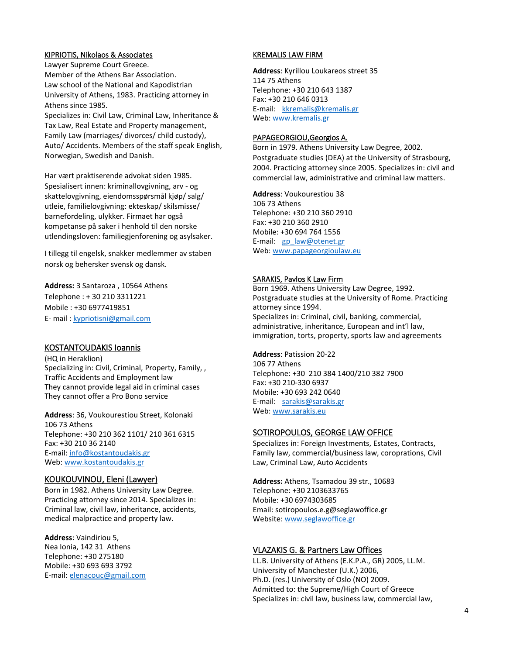#### <span id="page-3-0"></span>KIPRIOTIS, Nikolaos & Associates

Lawyer Supreme Court Greece. Member of the Athens Bar Association. Law school of the National and Kapodistrian University of Athens, 1983. Practicing attorney in Athens since 1985.

Specializes in: Civil Law, Criminal Law, Inheritance & Tax Law, Real Estate and Property management, Family Law (marriages/ divorces/ child custody), Auto/ Accidents. Members of the staff speak English, Norwegian, Swedish and Danish.

Har vært praktiserende advokat siden 1985. Spesialisert innen: kriminallovgivning, arv - og skattelovgivning, eiendomsspørsmål kjøp/ salg/ utleie, familielovgivning: ekteskap/ skilsmisse/ barnefordeling, ulykker. Firmaet har også kompetanse på saker i henhold til den norske utlendingsloven: familiegjenforening og asylsaker.

I tillegg til engelsk, snakker medlemmer av staben norsk og behersker svensk og dansk.

**Address:** 3 Santaroza , 10564 Athens Telephone : + 30 210 3311221 Mobile : +30 6977419851 Ε- mail : [kypriotisni@gmail.com](mailto:kypriotisni@gmail.com)

### <span id="page-3-1"></span>KOSTANTOUDAKIS Ioannis

(HQ in Heraklion) Specializing in: Civil, Criminal, Property, Family, , Traffic Accidents and Employment law They cannot provide legal aid in criminal cases They cannot offer a Pro Bono service

**Address**: 36, Voukourestiou Street, Kolonaki 106 73 Athens Telephone: +30 210 362 1101/ 210 361 6315 Fax: +30 210 36 2140 E-mail: [info@kostantoudakis.gr](mailto:info@kostantoudakis.gr) Web: [www.kostantoudakis.gr](http://www.kostantoudakis.gr/)

### <span id="page-3-2"></span>KOUKOUVINOU, Eleni (Lawyer)

Born in 1982. Athens University Law Degree. Practicing attorney since 2014. Specializes in: Criminal law, civil law, inheritance, accidents, medical malpractice and property law.

**Address**: Vaindiriou 5, Nea Ionia, 142 31 Athens Telephone: +30 275180 Mobile: +30 693 693 3792 E-mail: elenacouc@gmail.com

#### <span id="page-3-3"></span>KREMALIS LAW FIRM

**Address**: Kyrillou Loukareos street 35 114 75 Athens Telephone: +30 210 643 1387 Fax: +30 210 646 0313 E-mail: [kkremalis@kremalis.gr](mailto:kkremalis@kremalis.gr) Web: [www.kremalis.gr](http://www.kremalis.gr/)

#### <span id="page-3-4"></span>PAPAGEORGIOU,Georgios A.

Born in 1979. Athens University Law Degree, 2002. Postgraduate studies (DEA) at the University of Strasbourg, 2004. Practicing attorney since 2005. Specializes in: civil and commercial law, administrative and criminal law matters.

**Address**: Voukourestiou 38 106 73 Athens Telephone: +30 210 360 2910 Fax: +30 210 360 2910 Mobile: +30 694 764 1556 E-mail: [gp\\_law@otenet.gr](mailto:gp_law@otenet.gr) Web: [www.papageorgioulaw.eu](http://www.papageorgioulaw.eu/)

#### <span id="page-3-5"></span>SARAKIS, Pavlos K Law Firm

Born 1969. Athens University Law Degree, 1992. Postgraduate studies at the University of Rome. Practicing attorney since 1994. Specializes in: Criminal, civil, banking, commercial, administrative, inheritance, European and int'l law, immigration, torts, property, sports law and agreements

**Address**: Patission 20-22 106 77 Athens Telephone: +30 210 384 1400/210 382 7900 Fax: +30 210-330 6937 Mobile: +30 693 242 0640 E-mail: [sarakis@sarakis.gr](mailto:sarakis@sarakis.gr) Web: [www.sarakis.eu](http://www.sarakis.eu/)

### <span id="page-3-6"></span>SOTIROPOULOS, GEORGE LAW OFFICE

Specializes in: Foreign Investments, Estates, Contracts, Family law, commercial/business law, coroprations, Civil Law, Criminal Law, Auto Accidents

**Address:** Athens, Tsamadou 39 str., 10683 Telephone: +30 2103633765 Mobile: +30 6974303685 Email: sotiropoulos.e.g@seglawoffice.gr Website[: www.seglawoffice.gr](http://www.seglawoffice.gr/)

### <span id="page-3-7"></span>VLAZAKIS G. & Partners Law Offices

LL.B. University of Athens (E.K.P.A., GR) 2005, LL.M. University of Manchester (U.K.) 2006, Ph.D. (res.) University of Oslo (NO) 2009. Admitted to: the Supreme/High Court of Greece Specializes in: civil law, business law, commercial law,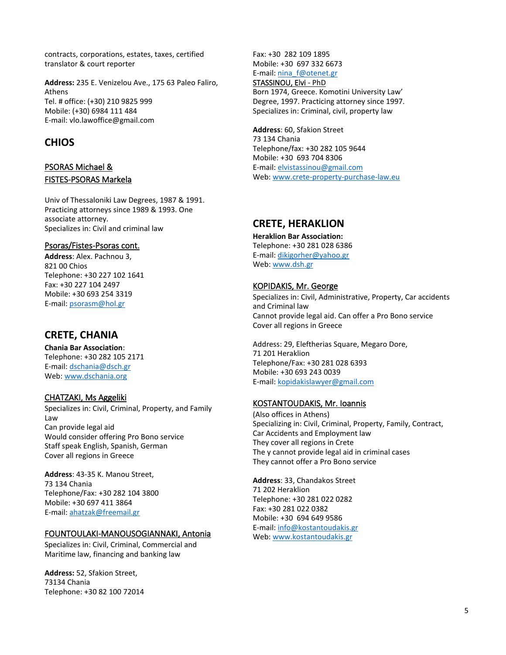contracts, corporations, estates, taxes, certified translator & court reporter

**Address:** 235 E. Venizelou Ave., 175 63 Paleo Faliro, Athens Tel. # office: (+30) 210 9825 999 Mobile: (+30) 6984 111 484 E-mail: vlo.lawoffice@gmail.com

# <span id="page-4-0"></span>**CHIOS**

### <span id="page-4-2"></span><span id="page-4-1"></span>PSORAS Michael & FISTES-PSORAS Markela

Univ of Thessaloniki Law Degrees, 1987 & 1991. Practicing attorneys since 1989 & 1993. One associate attorney. Specializes in: Civil and criminal law

### <span id="page-4-3"></span>Psoras/Fistes-Psoras cont.

**Address**: Alex. Pachnou 3, 821 00 Chios Telephone: +30 227 102 1641 Fax: +30 227 104 2497 Mobile: +30 693 254 3319 E-mail: [psorasm@hol.gr](mailto:psorasm@hol.gr)

# <span id="page-4-4"></span>**CRETE, CHANIA**

**Chania Bar Association**: Telephone: +30 282 105 2171 E-mail: [dschania@dsch.gr](mailto:dschania@dsch.gr) Web: [www.dschania.org](http://www.dschania.org/)

### <span id="page-4-5"></span>CHATZAKI, Ms Aggeliki

Specializes in: Civil, Criminal, Property, and Family Law Can provide legal aid Would consider offering Pro Bono service Staff speak English, Spanish, German Cover all regions in Greece

**Address**: 43-35 K. Manou Street, 73 134 Chania Telephone/Fax: +30 282 104 3800 Mobile: +30 697 411 3864 E-mail: [ahatzak@freemail.gr](mailto:ahatzak@freemail.gr)

### <span id="page-4-6"></span>FOUNTOULAKI-MANOUSOGIANNAKI, Antonia

Specializes in: Civil, Criminal, Commercial and Maritime law, financing and banking law

**Address:** 52, Sfakion Street, 73134 Chania Telephone: +30 82 100 72014 Fax: +30 282 109 1895 Mobile: +30 697 332 6673 E-mail: [nina\\_f@otenet.gr](mailto:nina_f@otenet.gr)

### <span id="page-4-7"></span>STASSINOU, Elvi - PhD

Born 1974, Greece. Komotini University Law' Degree, 1997. Practicing attorney since 1997. Specializes in: Criminal, civil, property law

**Address**: 60, Sfakion Street 73 134 Chania Telephone/fax: +30 282 105 9644 Mobile: +30 693 704 8306 E-mail: [elvistassinou@gmail.com](mailto:elvistassinou@gmail.com) Web: [www.crete-property-purchase-law.eu](http://www.crete-property-purchase-law.eu/)

# <span id="page-4-8"></span>**CRETE, HERAKLION**

**Heraklion Bar Association:** Telephone: +30 281 028 6386 E-mail: [dikigorher@yahoo.gr](mailto:dikigorher@yahoo.gr) Web: [www.dsh.gr](http://www.dsh.gr/)

### <span id="page-4-9"></span>KOPIDAKIS, Mr. George

Specializes in: Civil, Administrative, Property, Car accidents and Criminal law Cannot provide legal aid. Can offer a Pro Bono service Cover all regions in Greece

Address: 29, Eleftherias Square, Megaro Dore, 71 201 Heraklion Telephone/Fax: +30 281 028 6393 Mobile: +30 693 243 0039 E-mail: [kopidakislawyer@gmail.com](mailto:kopidakislawyer@gmail.com)

### <span id="page-4-10"></span>KOSTANTOUDAKIS, Mr. Ioannis

(Also offices in Athens) Specializing in: Civil, Criminal, Property, Family, Contract, Car Accidents and Employment law They cover all regions in Crete The y cannot provide legal aid in criminal cases They cannot offer a Pro Bono service

**Address**: 33, Chandakos Street 71 202 Heraklion Telephone: +30 281 022 0282 Fax: +30 281 022 0382 Mobile: +30 694 649 9586 E-mail: [info@kostantoudakis.gr](mailto:info@kostantoudakis.gr) Web: [www.kostantoudakis.gr](http://www.kostantoudakis.gr/)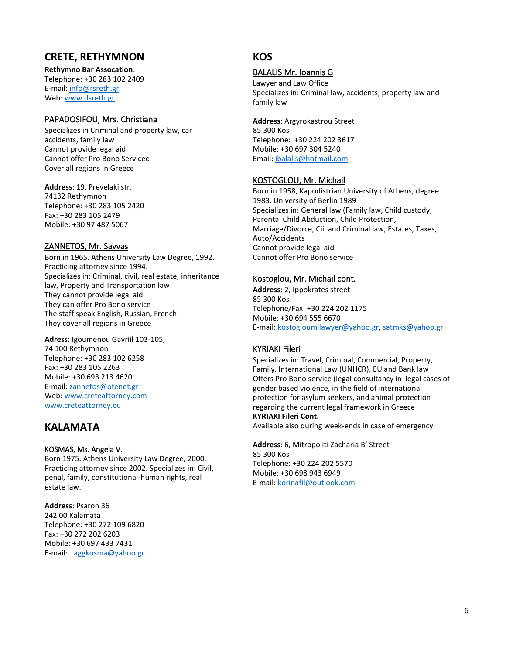# <span id="page-5-0"></span>**CRETE, RETHYMNON**

**Rethymno Bar Assocation**: Telephone: +30 283 102 2409 E-mail: [info@rsreth.gr](mailto:info@rsreth.gr) Web: [www.dsreth.gr](http://www.dsreth.gr/)

### <span id="page-5-1"></span>PAPADOSIFOU, Mrs. Christiana

Specializes in Criminal and property law, car accidents, family law Cannot provide legal aid Cannot offer Pro Bono Servicec Cover all regions in Greece

**Address**: 19, Prevelaki str, 74132 Rethymnon Telephone: +30 283 105 2420 Fax: +30 283 105 2479 Mobile: +30 97 487 5067

### <span id="page-5-2"></span>ZANNETOS, Mr. Savvas

Born in 1965. Athens University Law Degree, 1992. Practicing attorney since 1994. Specializes in: Criminal, civil, real estate, inheritance law, Property and Transportation law They cannot provide legal aid They can offer Pro Bono service The staff speak English, Russian, French They cover all regions in Greece

**Adress**: Igoumenou Gavriil 103-105, 74 100 Rethymnon Telephone: +30 283 102 6258 Fax: +30 283 105 2263 Mobile: +30 693 213 4620 E-mail: [zannetos@otenet.gr](mailto:zannetos@otenet.gr) Web: [www.creteattorney.com](http://www.creteattorney.com/) [www.creteattorney.eu](http://www.creteattorney.eu/)

# <span id="page-5-3"></span>**KALAMATA**

### <span id="page-5-4"></span>KOSMAS, Ms. Angela V.

Born 1975. Athens University Law Degree, 2000. Practicing attorney since 2002. Specializes in: Civil, penal, family, constitutional-human rights, real estate law.

**Address**: Psaron 36 242 00 Kalamata Telephone: +30 272 109 6820 Fax: +30 272 202 6203 Mobile: +30 697 433 7431 E-mail: [aggkosma@yahoo.gr](mailto:aggkosma@yahoo.gr)

# <span id="page-5-5"></span>**KOS**

### <span id="page-5-6"></span>BALALIS Mr. Ioannis G

Lawyer and Law Office Specializes in: Criminal law, accidents, property law and family law

**Address**: Argyrokastrou Street 85 300 Kos Telephone: +30 224 202 3617 Mobile: +30 697 304 5240 Email: [ibalalis@hotmail.com](mailto:ibalalis@hotmail.com)

### <span id="page-5-7"></span>KOSTOGLOU, Mr. Michail

Born in 1958, Kapodistrian University of Athens, degree 1983, University of Berlin 1989 Specializes in: General law (Family law, Child custody, Parental Child Abduction, Child Protection, Marriage/Divorce, Ciil and Criminal law, Estates, Taxes, Auto/Accidents Cannot provide legal aid Cannot offer Pro Bono service

### <span id="page-5-8"></span>Kostoglou, Mr. Michail cont.

**Address**: 2, Ippokrates street 85 300 Kos Telephone/Fax: +30 224 202 1175 Mobile: +30 694 555 6670 E-mail: [kostogloumilawyer@yahoo.gr,](mailto:kostogloumilawyer@yahoo.gr) [satmks@yahoo.gr](mailto:satmks@yahoo.gr)

# <span id="page-5-9"></span>KYRIAKI Fileri

Specializes in: Travel, Criminal, Commercial, Property, Family, International Law (UNHCR), EU and Bank law Offers Pro Bono service (legal consultancy in legal cases of gender based violence, in the field of international protection for asylum seekers, and animal protection regarding the current legal framework in Greece **KYRIAKI Fileri Cont.**

Available also during week-ends in case of emergency

**Address**: 6, Mitropoliti Zacharia B' Street 85 300 Kos Telephone: +30 224 202 5570 Mobile: +30 698 943 6949 E-mail: [korinafil@outlook.com](mailto:korinafil@outlook.com)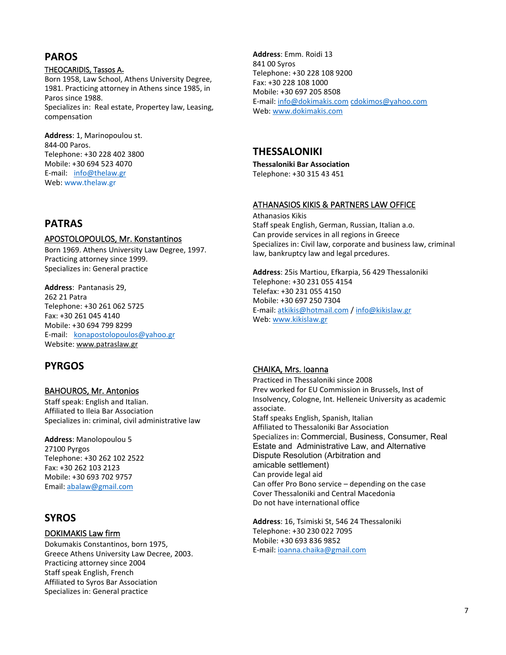# <span id="page-6-0"></span>**PAROS**

### <span id="page-6-1"></span>THEOCARIDIS, Tassos A**.**

Born 1958, Law School, Athens University Degree, 1981. Practicing attorney in Athens since 1985, in Paros since 1988. Specializes in: Real estate, Propertey law, Leasing, compensation

**Address**: 1, Marinopoulou st. 844-00 Paros. Telephone: +30 228 402 3800 Mobile: +30 694 523 4070 E-mail: [info@thelaw.gr](mailto:info@thelaw.gr) Web: [www.thelaw.gr](http://www.thelaw.gr/)

# <span id="page-6-2"></span>**PATRAS**

### <span id="page-6-3"></span>APOSTOLOPOULOS, Mr. Konstantinos

Born 1969. Athens University Law Degree, 1997. Practicing attorney since 1999. Specializes in: General practice

**Address**: Pantanasis 29, 262 21 Patra Telephone: +30 261 062 5725 Fax: +30 261 045 4140 Mobile: +30 694 799 8299 E-mail: [konapostolopoulos@yahoo.gr](mailto:konapostolopoulos@yahoo.gr) Website[: www.patraslaw.gr](http://www.patraslaw.gr/)

# <span id="page-6-4"></span>**PYRGOS**

### <span id="page-6-5"></span>BAHOUROS, Mr. Antonios

Staff speak: English and Italian. Affiliated to Ileia Bar Association Specializes in: criminal, civil administrative law

**Address**: Manolopoulou 5 27100 Pyrgos Telephone: +30 262 102 2522 Fax: +30 262 103 2123 Mobile: +30 693 702 9757 Email: [abalaw@gmail.com](mailto:abalaw@gmail.com)

# <span id="page-6-6"></span>**SYROS**

### <span id="page-6-7"></span>DOKIMAKIS Law firm

Dokumakis Constantinos, born 1975, Greece Athens University Law Decree, 2003. Practicing attorney since 2004 Staff speak English, French Affiliated to Syros Bar Association Specializes in: General practice

**Address**: Emm. Roidi 13 841 00 Syros Telephone: +30 228 108 9200 Fax: +30 228 108 1000 Mobile: +30 697 205 8508 E-mail: [info@dokimakis.com](mailto:info@dokimakis.com) [cdokimos@yahoo.com](mailto:cdokimos@yahoo.com) Web: [www.dokimakis.com](http://www.dokimakis.com/)

# <span id="page-6-8"></span>**THESSALONIKI**

**Thessaloniki Bar Association** Telephone: +30 315 43 451

### <span id="page-6-9"></span>**ATHANASIOS KIKIS & PARTNERS LAW OFFICE**

Athanasios Kikis Staff speak English, German, Russian, Italian a.o. Can provide services in all regions in Greece Specializes in: Civil law, corporate and business law, criminal law, bankruptcy law and legal prcedures.

**Address**: 25is Martiou, Efkarpia, 56 429 Thessaloniki Telephone: +30 231 055 4154 Telefax: +30 231 055 4150 Mobile: +30 697 250 7304 E-mail: [atkikis@hotmail.com](mailto:atkikis@hotmail.com) [/ info@kikislaw.gr](mailto:info@kikislaw.gr) Web: [www.kikislaw.gr](http://www.kikislaw.gr/)

# <span id="page-6-10"></span>CHAIKA, Mrs. Ioanna

Practiced in Thessaloniki since 2008 Prev worked for EU Commission in Brussels, Inst of Insolvency, Cologne, Int. Helleneic University as academic associate. Staff speaks English, Spanish, Italian Affiliated to Thessaloniki Bar Association Specializes in: Commercial, Business, Consumer, Real Estate and Administrative Law, and Alternative Dispute Resolution (Arbitration and amicable settlement) Can provide legal aid Can offer Pro Bono service – depending on the case Cover Thessaloniki and Central Macedonia Do not have international office

**Address**: 16, Tsimiski St, 546 24 Thessaloniki Telephone: +30 230 022 7095 Mobile: +30 693 836 9852 E-mail: [ioanna.chaika@gmail.com](mailto:ioanna.chaika@gmail.com)